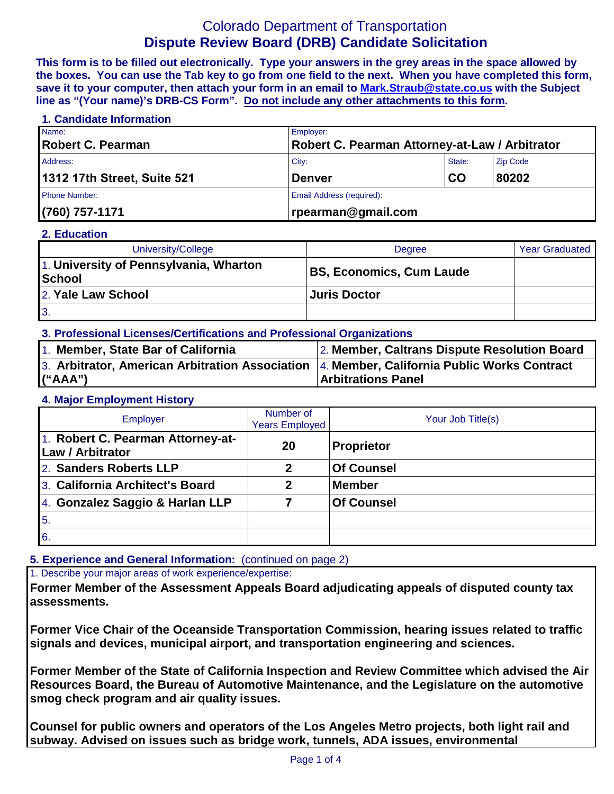# Colorado Department of Transportation **Dispute Review Board (DRB) Candidate Solicitation**

**This form is to be filled out electronically. Type your answers in the grey areas in the space allowed by the boxes. You can use the Tab key to go from one field to the next. When you have completed this form, save it to your computer, then attach your form in an email to [Mark.Straub@state.co.us](mailto:Mark.Straub@state.co.us?subject=Dispute%20Review%20Board%20(DRB)%20Candidate%20Solicitation) with the Subject line as "(Your name)'s DRB-CS Form". Do not include any other attachments to this form.**

| 1. Candidate Information    |                                                |        |                 |  |
|-----------------------------|------------------------------------------------|--------|-----------------|--|
| Name:                       | Employer:                                      |        |                 |  |
| Robert C. Pearman           | Robert C. Pearman Attorney-at-Law / Arbitrator |        |                 |  |
| Address:                    | City:                                          | State: | <b>Zip Code</b> |  |
| 1312 17th Street, Suite 521 | <b>Denver</b>                                  | CO     | 80202           |  |
| <b>Phone Number:</b>        | Email Address (required):                      |        |                 |  |
| $(760) 757 - 1171$          | rpearman@gmail.com                             |        |                 |  |

#### **2. Education**

| University/College                                      | Degree                          | <b>Year Graduated</b> |
|---------------------------------------------------------|---------------------------------|-----------------------|
| 1. University of Pennsylvania, Wharton<br><b>School</b> | <b>BS, Economics, Cum Laude</b> |                       |
| 2. Yale Law School                                      | Juris Doctor                    |                       |
| 3.                                                      |                                 |                       |

#### **3. Professional Licenses/Certifications and Professional Organizations**

| 1. Member, State Bar of California                                                               | 2. Member, Caltrans Dispute Resolution Board |
|--------------------------------------------------------------------------------------------------|----------------------------------------------|
| 3. Arbitrator, American Arbitration Association $ 4 $ . Member, California Public Works Contract |                                              |
| (''AAA")                                                                                         | <b>Arbitrations Panel</b>                    |

#### **4. Major Employment History**

| <b>Employer</b>                                       | Number of<br><b>Years Employed</b> | Your Job Title(s) |
|-------------------------------------------------------|------------------------------------|-------------------|
| 1. Robert C. Pearman Attorney-at-<br>Law / Arbitrator | 20                                 | Proprietor        |
| 2. Sanders Roberts LLP                                | 2                                  | Of Counsel        |
| 3. California Architect's Board                       | 2                                  | <b>Member</b>     |
| 4. Gonzalez Saggio & Harlan LLP                       |                                    | Of Counsel        |
| 5.                                                    |                                    |                   |
| 6.                                                    |                                    |                   |

#### **5. Experience and General Information:** (continued on page 2)

1. Describe your major areas of work experience/expertise:

**Former Member of the Assessment Appeals Board adjudicating appeals of disputed county tax assessments.**

**Former Vice Chair of the Oceanside Transportation Commission, hearing issues related to traffic signals and devices, municipal airport, and transportation engineering and sciences.**

**Former Member of the State of California Inspection and Review Committee which advised the Air Resources Board, the Bureau of Automotive Maintenance, and the Legislature on the automotive smog check program and air quality issues.**

**Counsel for public owners and operators of the Los Angeles Metro projects, both light rail and subway. Advised on issues such as bridge work, tunnels, ADA issues, environmental**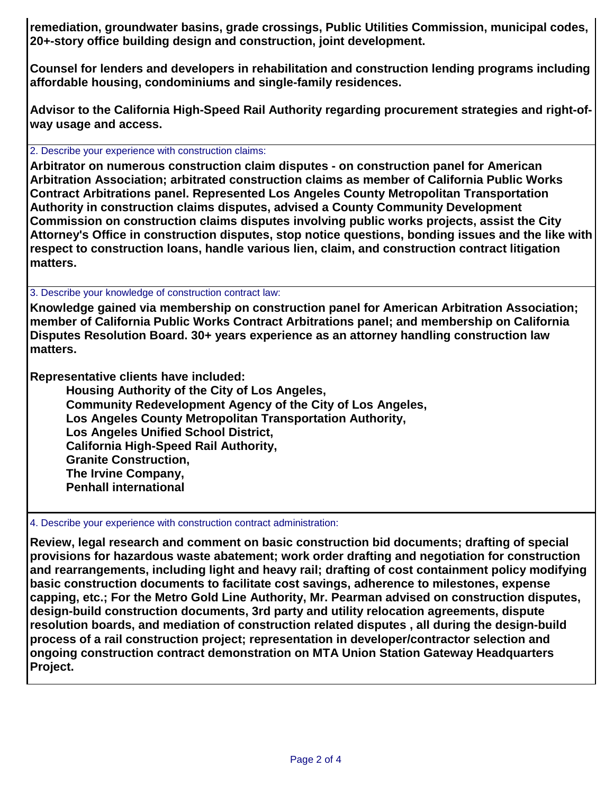**remediation, groundwater basins, grade crossings, Public Utilities Commission, municipal codes, 20+-story office building design and construction, joint development.**

**Counsel for lenders and developers in rehabilitation and construction lending programs including affordable housing, condominiums and single-family residences.**

**Advisor to the California High-Speed Rail Authority regarding procurement strategies and right-ofway usage and access.**

2. Describe your experience with construction claims:

**Arbitrator on numerous construction claim disputes - on construction panel for American Arbitration Association; arbitrated construction claims as member of California Public Works Contract Arbitrations panel. Represented Los Angeles County Metropolitan Transportation Authority in construction claims disputes, advised a County Community Development Commission on construction claims disputes involving public works projects, assist the City Attorney's Office in construction disputes, stop notice questions, bonding issues and the like with respect to construction loans, handle various lien, claim, and construction contract litigation matters.**

3. Describe your knowledge of construction contract law:

**Knowledge gained via membership on construction panel for American Arbitration Association; member of California Public Works Contract Arbitrations panel; and membership on California Disputes Resolution Board. 30+ years experience as an attorney handling construction law matters.**

**Representative clients have included:**

**Housing Authority of the City of Los Angeles, Community Redevelopment Agency of the City of Los Angeles, Los Angeles County Metropolitan Transportation Authority, Los Angeles Unified School District, California High-Speed Rail Authority, Granite Construction, The Irvine Company, Penhall international**

4. Describe your experience with construction contract administration:

**Review, legal research and comment on basic construction bid documents; drafting of special provisions for hazardous waste abatement; work order drafting and negotiation for construction and rearrangements, including light and heavy rail; drafting of cost containment policy modifying basic construction documents to facilitate cost savings, adherence to milestones, expense capping, etc.; For the Metro Gold Line Authority, Mr. Pearman advised on construction disputes, design-build construction documents, 3rd party and utility relocation agreements, dispute resolution boards, and mediation of construction related disputes , all during the design-build process of a rail construction project; representation in developer/contractor selection and ongoing construction contract demonstration on MTA Union Station Gateway Headquarters Project.**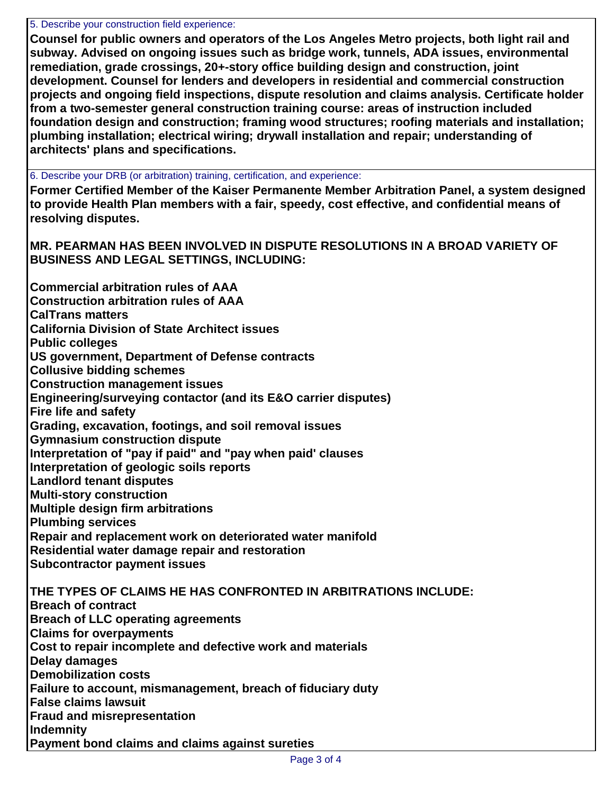5. Describe your construction field experience:

**Counsel for public owners and operators of the Los Angeles Metro projects, both light rail and subway. Advised on ongoing issues such as bridge work, tunnels, ADA issues, environmental remediation, grade crossings, 20+-story office building design and construction, joint development. Counsel for lenders and developers in residential and commercial construction projects and ongoing field inspections, dispute resolution and claims analysis. Certificate holder from a two-semester general construction training course: areas of instruction included foundation design and construction; framing wood structures; roofing materials and installation; plumbing installation; electrical wiring; drywall installation and repair; understanding of architects' plans and specifications.**

6. Describe your DRB (or arbitration) training, certification, and experience:

**Former Certified Member of the Kaiser Permanente Member Arbitration Panel, a system designed to provide Health Plan members with a fair, speedy, cost effective, and confidential means of resolving disputes.**

**MR. PEARMAN HAS BEEN INVOLVED IN DISPUTE RESOLUTIONS IN A BROAD VARIETY OF BUSINESS AND LEGAL SETTINGS, INCLUDING:**

**Commercial arbitration rules of AAA Construction arbitration rules of AAA CalTrans matters California Division of State Architect issues Public colleges US government, Department of Defense contracts Collusive bidding schemes Construction management issues Engineering/surveying contactor (and its E&O carrier disputes) Fire life and safety Grading, excavation, footings, and soil removal issues Gymnasium construction dispute Interpretation of "pay if paid" and "pay when paid' clauses Interpretation of geologic soils reports Landlord tenant disputes Multi-story construction Multiple design firm arbitrations Plumbing services Repair and replacement work on deteriorated water manifold Residential water damage repair and restoration Subcontractor payment issues THE TYPES OF CLAIMS HE HAS CONFRONTED IN ARBITRATIONS INCLUDE: Breach of contract Breach of LLC operating agreements Claims for overpayments Cost to repair incomplete and defective work and materials Delay damages Demobilization costs Failure to account, mismanagement, breach of fiduciary duty False claims lawsuit Fraud and misrepresentation Indemnity Payment bond claims and claims against sureties**